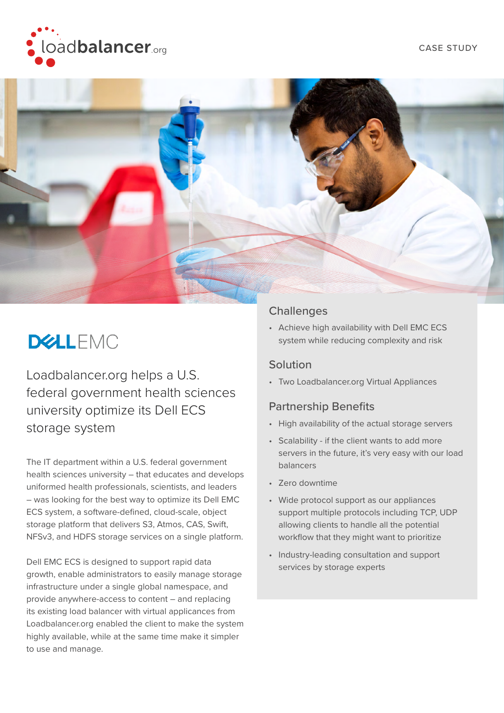



# **DELLEMC**

Loadbalancer.org helps a U.S. federal government health sciences university optimize its Dell ECS storage system

The IT department within a U.S. federal government health sciences university – that educates and develops uniformed health professionals, scientists, and leaders – was looking for the best way to optimize its Dell EMC ECS system, a software-defined, cloud-scale, object storage platform that delivers S3, Atmos, CAS, Swift, NFSv3, and HDFS storage services on a single platform.

Dell EMC ECS is designed to support rapid data growth, enable administrators to easily manage storage infrastructure under a single global namespace, and provide anywhere-access to content – and replacing its existing load balancer with virtual applicances from Loadbalancer.org enabled the client to make the system highly available, while at the same time make it simpler to use and manage.

#### **Challenges**

• Achieve high availability with Dell EMC ECS system while reducing complexity and risk

#### Solution

• Two Loadbalancer.org Virtual Appliances

## Partnership Benefits

- High availability of the actual storage servers
- Scalability if the client wants to add more servers in the future, it's very easy with our load balancers
- Zero downtime
- Wide protocol support as our appliances support multiple protocols including TCP, UDP allowing clients to handle all the potential workflow that they might want to prioritize
- Industry-leading consultation and support services by storage experts